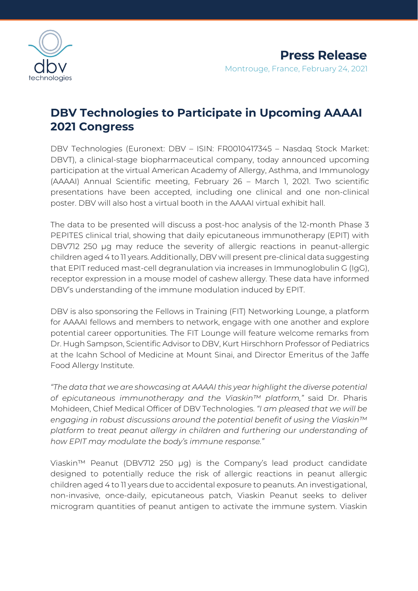

# **DBV Technologies to Participate in Upcoming AAAAI 2021 Congress**

DBV Technologies (Euronext: DBV – ISIN: FR0010417345 – Nasdaq Stock Market: DBVT), a clinical-stage biopharmaceutical company, today announced upcoming participation at the virtual American Academy of Allergy, Asthma, and Immunology (AAAAI) Annual Scientific meeting, February 26 – March 1, 2021. Two scientific presentations have been accepted, including one clinical and one non-clinical poster. DBV will also host a virtual booth in the AAAAI virtual exhibit hall.

The data to be presented will discuss a post-hoc analysis of the 12-month Phase 3 PEPITES clinical trial, showing that daily epicutaneous immunotherapy (EPIT) with DBV712 250 μg may reduce the severity of allergic reactions in peanut-allergic children aged 4 to 11 years. Additionally, DBV will present pre-clinical data suggesting that EPIT reduced mast-cell degranulation via increases in Immunoglobulin G (IgG), receptor expression in a mouse model of cashew allergy. These data have informed DBV's understanding of the immune modulation induced by EPIT.

DBV is also sponsoring the Fellows in Training (FIT) Networking Lounge, a platform for AAAAI fellows and members to network, engage with one another and explore potential career opportunities. The FIT Lounge will feature welcome remarks from Dr. Hugh Sampson, Scientific Advisor to DBV, Kurt Hirschhorn Professor of Pediatrics at the Icahn School of Medicine at Mount Sinai, and Director Emeritus of the Jaffe Food Allergy Institute.

*"The data that we are showcasing at AAAAI this year highlight the diverse potential of epicutaneous immunotherapy and the Viaskin™ platform,"* said Dr. Pharis Mohideen, Chief Medical Officer of DBV Technologies. *"I am pleased that we will be engaging in robust discussions around the potential benefit of using the Viaskin™ platform to treat peanut allergy in children and furthering our understanding of how EPIT may modulate the body's immune response."*

Viaskin™ Peanut (DBV712 250 μg) is the Company's lead product candidate designed to potentially reduce the risk of allergic reactions in peanut allergic children aged 4 to 11 years due to accidental exposure to peanuts. An investigational, non-invasive, once-daily, epicutaneous patch, Viaskin Peanut seeks to deliver microgram quantities of peanut antigen to activate the immune system. Viaskin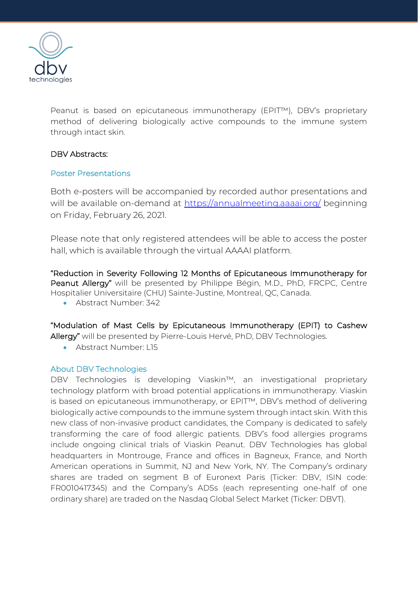

Peanut is based on epicutaneous immunotherapy (EPIT™), DBV's proprietary method of delivering biologically active compounds to the immune system through intact skin.

## DBV Abstracts:

## Poster Presentations

Both e-posters will be accompanied by recorded author presentations and will be available on-demand at [https://annualmeeting.aaaai.org/](https://eur03.safelinks.protection.outlook.com/?url=https%3A%2F%2Furldefense.com%2Fv3%2F__https%3A%2Fannualmeeting.aaaai.org%2F__%3B!!IfJP2Nwhk5Z0yJ43lA!YfYUqYfcFbqKXbudgKLz7IFACg5trMm6spRKbsAOcaSkjDKI8f0mZKlx3j8A9nc%24&data=04%7C01%7Cangela.marcucci%40dbv-technologies.com%7C68ee58b1d94f4165538308d8d7dcd782%7C3c89f02ae35e4e6cb1279a27fd59f5ea%7C0%7C0%7C637496690792397073%7CUnknown%7CTWFpbGZsb3d8eyJWIjoiMC4wLjAwMDAiLCJQIjoiV2luMzIiLCJBTiI6Ik1haWwiLCJXVCI6Mn0%3D%7C1000&sdata=cvIfBaAuxwOHU1hri9LQdKFghMjOPFHe51Y22WEx0Vk%3D&reserved=0) beginning on Friday, February 26, 2021.

Please note that only registered attendees will be able to access the poster hall, which is available through the virtual AAAAI platform.

"Reduction in Severity Following 12 Months of Epicutaneous Immunotherapy for Peanut Allergy" will be presented by Philippe Bégin, M.D., PhD, FRCPC, Centre Hospitalier Universitaire (CHU) Sainte-Justine, Montreal, QC, Canada.

• Abstract Number: 342

"Modulation of Mast Cells by Epicutaneous Immunotherapy (EPIT) to Cashew Allergy" will be presented by Pierre-Louis Hervé, PhD, DBV Technologies.

• Abstract Number: L15

## About DBV Technologies

DBV Technologies is developing Viaskin™, an investigational proprietary technology platform with broad potential applications in immunotherapy. Viaskin is based on epicutaneous immunotherapy, or EPIT™, DBV's method of delivering biologically active compounds to the immune system through intact skin. With this new class of non-invasive product candidates, the Company is dedicated to safely transforming the care of food allergic patients. DBV's food allergies programs include ongoing clinical trials of Viaskin Peanut. DBV Technologies has global headquarters in Montrouge, France and offices in Bagneux, France, and North American operations in Summit, NJ and New York, NY. The Company's ordinary shares are traded on segment B of Euronext Paris (Ticker: DBV, ISIN code: FR0010417345) and the Company's ADSs (each representing one-half of one ordinary share) are traded on the Nasdaq Global Select Market (Ticker: DBVT).